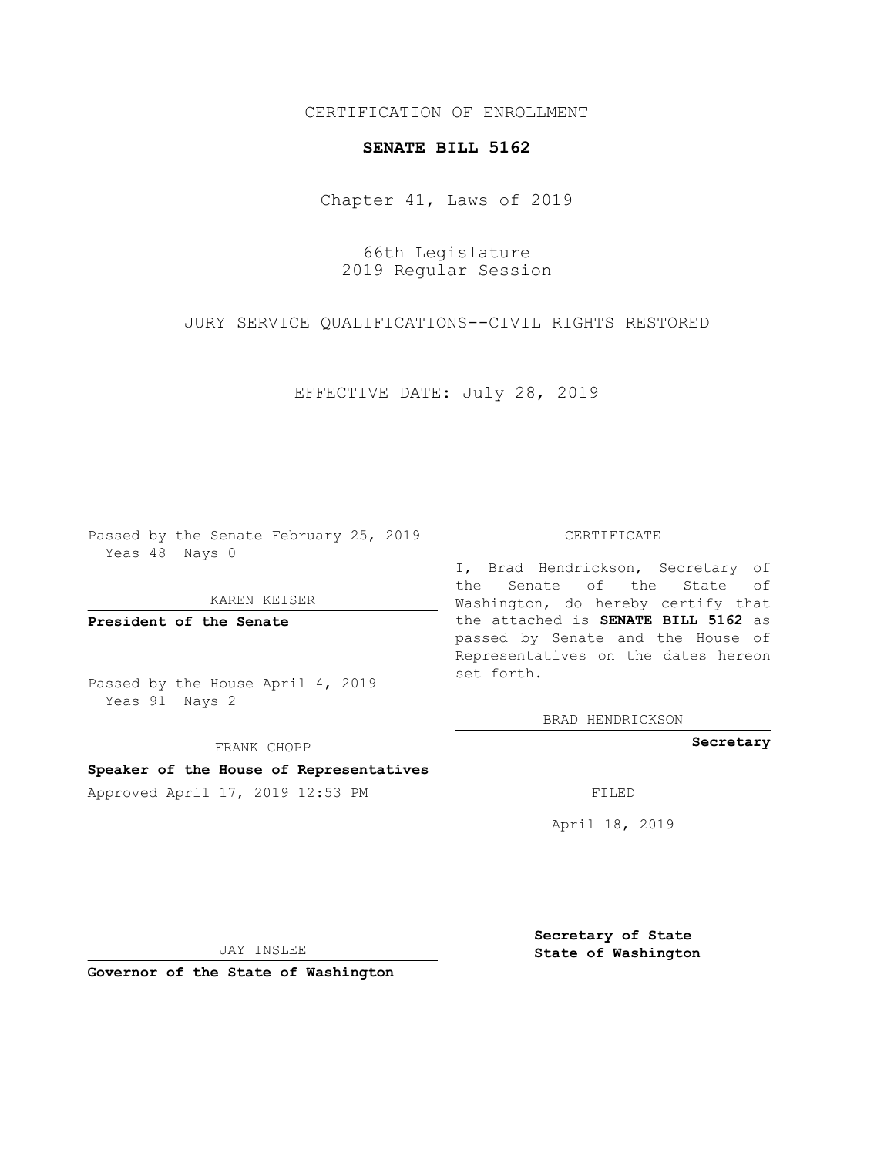# CERTIFICATION OF ENROLLMENT

### **SENATE BILL 5162**

Chapter 41, Laws of 2019

66th Legislature 2019 Regular Session

JURY SERVICE QUALIFICATIONS--CIVIL RIGHTS RESTORED

EFFECTIVE DATE: July 28, 2019

Passed by the Senate February 25, 2019 Yeas 48 Nays 0

KAREN KEISER

**President of the Senate**

Passed by the House April 4, 2019 Yeas 91 Nays 2

FRANK CHOPP

# **Speaker of the House of Representatives**

Approved April 17, 2019 12:53 PM

#### CERTIFICATE

I, Brad Hendrickson, Secretary of the Senate of the State of Washington, do hereby certify that the attached is **SENATE BILL 5162** as passed by Senate and the House of Representatives on the dates hereon set forth.

BRAD HENDRICKSON

**Secretary**

April 18, 2019

JAY INSLEE

**Governor of the State of Washington**

**Secretary of State State of Washington**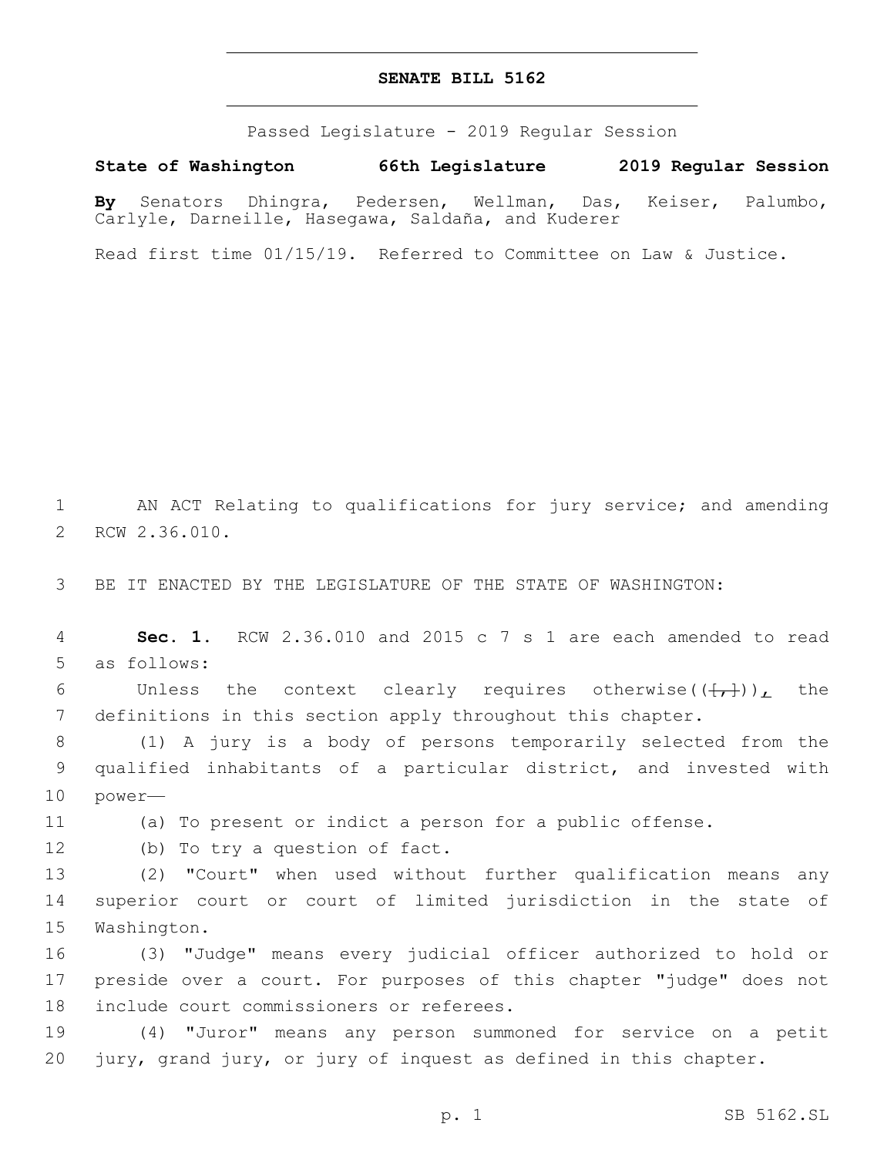# **SENATE BILL 5162**

Passed Legislature - 2019 Regular Session

**State of Washington 66th Legislature 2019 Regular Session**

**By** Senators Dhingra, Pedersen, Wellman, Das, Keiser, Palumbo, Carlyle, Darneille, Hasegawa, Saldaña, and Kuderer

Read first time 01/15/19. Referred to Committee on Law & Justice.

1 AN ACT Relating to qualifications for jury service; and amending 2 RCW 2.36.010.

3 BE IT ENACTED BY THE LEGISLATURE OF THE STATE OF WASHINGTON:

4 **Sec. 1.** RCW 2.36.010 and 2015 c 7 s 1 are each amended to read 5 as follows:

6 Unless the context clearly requires otherwise( $(\frac{1}{(1,1)})_L$  the 7 definitions in this section apply throughout this chapter.

8 (1) A jury is a body of persons temporarily selected from the 9 qualified inhabitants of a particular district, and invested with 10 power—

11 (a) To present or indict a person for a public offense.

12 (b) To try a question of fact.

13 (2) "Court" when used without further qualification means any 14 superior court or court of limited jurisdiction in the state of 15 Washington.

16 (3) "Judge" means every judicial officer authorized to hold or 17 preside over a court. For purposes of this chapter "judge" does not 18 include court commissioners or referees.

19 (4) "Juror" means any person summoned for service on a petit 20 jury, grand jury, or jury of inquest as defined in this chapter.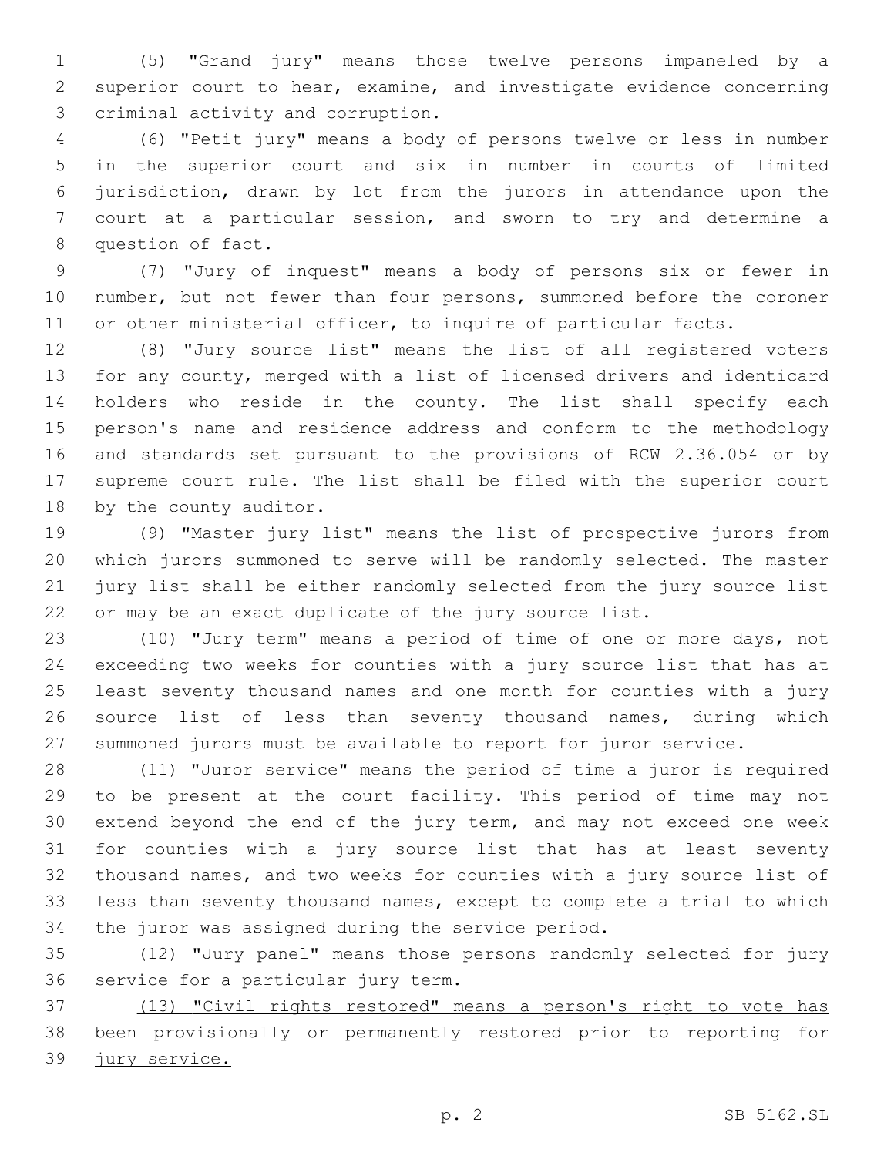(5) "Grand jury" means those twelve persons impaneled by a superior court to hear, examine, and investigate evidence concerning 3 criminal activity and corruption.

 (6) "Petit jury" means a body of persons twelve or less in number in the superior court and six in number in courts of limited jurisdiction, drawn by lot from the jurors in attendance upon the court at a particular session, and sworn to try and determine a 8 question of fact.

 (7) "Jury of inquest" means a body of persons six or fewer in number, but not fewer than four persons, summoned before the coroner or other ministerial officer, to inquire of particular facts.

 (8) "Jury source list" means the list of all registered voters for any county, merged with a list of licensed drivers and identicard holders who reside in the county. The list shall specify each person's name and residence address and conform to the methodology and standards set pursuant to the provisions of RCW 2.36.054 or by supreme court rule. The list shall be filed with the superior court 18 by the county auditor.

 (9) "Master jury list" means the list of prospective jurors from which jurors summoned to serve will be randomly selected. The master jury list shall be either randomly selected from the jury source list or may be an exact duplicate of the jury source list.

 (10) "Jury term" means a period of time of one or more days, not exceeding two weeks for counties with a jury source list that has at least seventy thousand names and one month for counties with a jury source list of less than seventy thousand names, during which summoned jurors must be available to report for juror service.

 (11) "Juror service" means the period of time a juror is required to be present at the court facility. This period of time may not extend beyond the end of the jury term, and may not exceed one week for counties with a jury source list that has at least seventy thousand names, and two weeks for counties with a jury source list of less than seventy thousand names, except to complete a trial to which 34 the juror was assigned during the service period.

 (12) "Jury panel" means those persons randomly selected for jury 36 service for a particular jury term.

 (13) "Civil rights restored" means a person's right to vote has been provisionally or permanently restored prior to reporting for jury service.